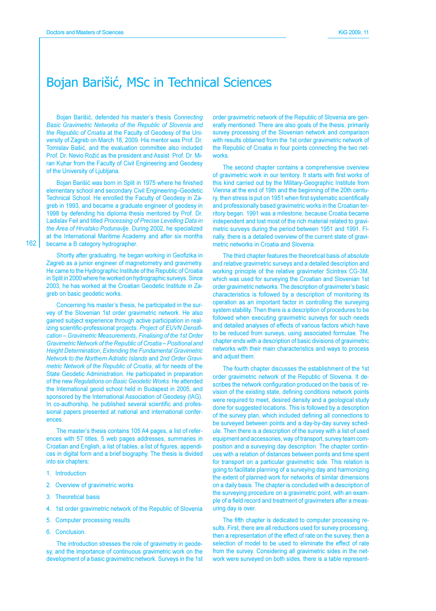## Bojan Barišić, MSc in Technical Sciences

Bojan Barišić, defended his master's thesis Connecting Basic Gravimetric Networks of the Republic of Slovenia and the Republic of Croatia at the Faculty of Geodesy of the University of Zagreb on March 18, 2009. His mentor was Prof. Dr. Tomislav Bašić, and the evaluation committee also included Prof. Dr. Nevio Rožić as the president and Assist. Prof. Dr. Miran Kuhar from the Faculty of Civil Engineering and Geodesy of the University of Ljubljana.

Bojan Barišić was born in Split in 1975 where he finished elementary school and secondary Civil Engineering-Geodetic Technical School. He enrolled the Faculty of Geodesy in Zagreb in 1993, and became a graduate engineer of geodesy in 1998 by defending his diploma thesis mentored by Prof. Dr. Ladislav Feil and titled Processing of Precise Levelling Data in the Area of Hrvatsko Podunavlje. During 2002, he specialized at the International Maritime Academy and after six months became a B category hydrographer.

Shortly after graduating, he began working in Geofizika in Zagreb as a junior engineer of magnetometry and gravimetry. He came to the Hydrographic Institute of the Republic of Croatia in Split in 2000 where he worked on hydrographic surveys. Since 2003, he has worked at the Croatian Geodetic Institute in Zagreb on basic geodetic works.

Concerning his master's thesis, he participated in the survey of the Slovenian 1st order gravimetric network. He also gained subject experience through active participation in realizing scientific-professional projects: Project of EUVN Densification - Gravimetric Measurements, Finalising of the 1st Order Gravimetric Network of the Republic of Croatia - Positional and **Height Determination, Extending the Fundamental Gravimetric** Network to the Northern Adriatic Islands and 2nd Order Gravimetric Network of the Republic of Croatia, all for needs of the State Geodetic Administration. He participated in preparation of the new Regulations on Basic Geodetic Works. He attended the International geoid school held in Budapest in 2005, and sponsored by the International Association of Geodesy (IAG). In co-authorship, he published several scientific and professional papers presented at national and international conferences

The master's thesis contains 105 A4 pages, a list of references with 57 titles, 5 web pages addresses, summaries in Croatian and English, a list of tables, a list of figures, appendices in digital form and a brief biography. The thesis is divided into six chapters:

- 1. Introduction
- 2. Overview of gravimetric works
- 3. Theoretical basis
- 4. 1st order gravimetric network of the Republic of Slovenia
- 5. Computer processing results
- 6. Conclusion.

The introduction stresses the role of gravimetry in geodesy, and the importance of continuous gravimetric work on the development of a basic gravimetric network. Surveys in the 1st order gravimetric network of the Republic of Slovenia are generally mentioned. There are also goals of the thesis, primarily survey processing of the Slovenian network and comparison with results obtained from the 1st order gravimetric network of the Republic of Croatia in four points connecting the two networks

The second chapter contains a comprehensive overview of gravimetric work in our territory. It starts with first works of this kind carried out by the Military-Geographic Institute from Vienna at the end of 19th and the beginning of the 20th century, then stress is put on 1951 when first systematic scientifically and professionally based gravimetric works in the Croatian territory began. 1991 was a milestone, because Croatia became independent and lost most of the rich material related to gravimetric surveys during the period between 1951 and 1991. Finally, there is a detailed overview of the current state of gravimetric networks in Croatia and Slovenia.

The third chapter features the theoretical basis of absolute and relative gravimetric surveys and a detailed description and working principle of the relative gravimeter Scintrex CG-3M, which was used for surveying the Croatian and Slovenian 1st order gravimetric networks. The description of gravimeter's basic characteristics is followed by a description of monitoring its operation as an important factor in controlling the surveying system stability. Then there is a description of procedures to be followed when executing gravimetric surveys for such needs and detailed analyses of effects of various factors which have to be reduced from surveys, using associated formulae. The chapter ends with a description of basic divisions of gravimetric networks with their main characteristics and ways to process and adjust them.

The fourth chapter discusses the establishment of the 1st order gravimetric network of the Republic of Slovenia. It describes the network configuration produced on the basis of: revision of the existing state, defining conditions network points were required to meet, desired density and a geological study done for suggested locations. This is followed by a description of the survey plan, which included defining all connections to be surveyed between points and a day-by-day survey schedule. Then there is a description of the survey with a list of used equipment and accessories, way of transport, survey team composition and a surveying day description. The chapter continues with a relation of distances between points and time spent for transport on a particular gravimetric side. This relation is going to facilitate planning of a surveying day and harmonizing the extent of planned work for networks of similar dimensions on a daily basis. The chapter is concluded with a description of the surveying procedure on a gravimetric point, with an example of a field record and treatment of gravimeters after a measuring day is over.

The fifth chapter is dedicated to computer processing results. First, there are all reductions used for survey processing, then a representation of the effect of rate on the survey, then a selection of model to be used to eliminate the effect of rate from the survey. Considering all gravimetric sides in the network were surveyed on both sides, there is a table represent-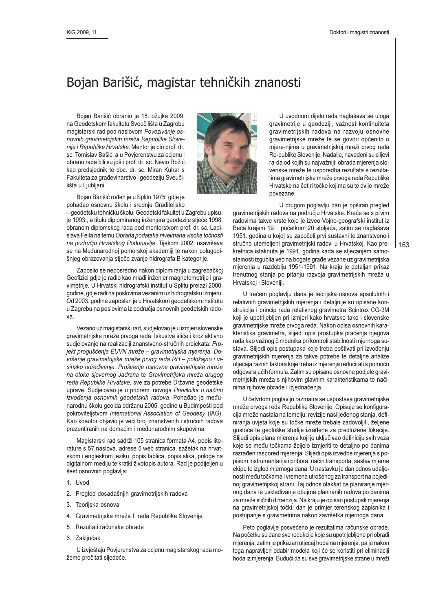## Bojan Barišić, magistar tehničkih znanosti

Bojan Barišić obranio je 18. ožujka 2009. na Geodetskom fakultetu Sveučilišta u Zagrebu magistarski rad pod naslovom Povezivanje osnovnih gravimetrijskih mreža Republike Slovenije i Republike Hrvatske. Mentor je bio prof. dr. sc. Tomislav Bašić, a u Povjerenstvu za ocjenu i obranu rada bili su još i prof. dr. sc. Nevio Rožić kao predsjednik te doc. dr. sc. Miran Kuhar s Fakulteta za građevinarstvo i geodeziju Sveučilišta u Ljubljani.



Bojan Barišić rođen je u Splitu 1975. gdje je pohađao osnovnu školu i srednju Graditeljsko

- geodetsku tehničku školu. Geodetski fakultet u Zagrebu upisuje 1993., a titulu diplomiranog inženjera geodezije stječe 1998. obranom diplomskog rada pod mentorstvom prof. dr. sc. Ladislava Feila na temu Obrada podataka nivelmana visoke točnosti na području Hrvatskog Podunavlja. Tijekom 2002. usavršava se na Međunarodnoj pomorskoj akademiji te nakon polugodišnjeg obrazovanja stječe zvanje hidrografa B kategorije.

Zaposlio se neposredno nakon diplomiranja u zagrebačkoj Geofizici gdje je radio kao mlađi inženjer magnetometrije i gravimetrije. U Hrvatski hidrografski institut u Splitu prelazi 2000. godine, gdje radi na poslovima vezanim uz hidrografsku izmjeru. Od 2003. godine zaposlen je u Hrvatskom geodetskom institutu u Zagrebu na poslovima iz područja osnovnih geodetskih radova.

Vezano uz magistarski rad, sudjelovao je u izmjeri slovenske gravimetrijske mreže prvoga reda. Iskustva stiče i kroz aktivno sudjelovanje na realizaciji znanstveno-stručnih projekata: Projekt progušćenja EUVN mreže – gravimetrijska mjerenja, Dovršenje gravimetrijske mreže prvog reda RH - položajno i visinsko određivanje, Proširenje osnovne gravimetrijske mreže na otoke sjevernog Jadrana te Gravimetrijska mreža drugog reda Republike Hrvatske, sve za potrebe Državne geodetske uprave. Sudjelovao je u pripremi novoga Pravilnika o načinu izvođenja osnovnih geodetskih radova. Pohađao je međunarodnu školu geoida održanu 2005. godine u Budimpešti pod pokroviteljstvom International Association of Geodesy (IAG). Kao koautor objavio je veći broj znanstvenih i stručnih radova prezentiranih na domaćim i međunarodnim skupovima.

Magistarski rad sadrži 105 stranica formata A4, popis literature s 57 naslova, adrese 5 web stranica, sažetak na hrvatskom i engleskom jeziku, popis tablica, popis slika, priloge na digitalnom mediju te kratki životopis autora. Rad je podijeljen u šest osnovnih poglavlja:

- 1. Uvod
- 2. Pregled dosadašnjih gravimetrijskih radova
- 3. Teorijska osnova
- 4. Gravimetrijska mreža I. reda Republike Slovenije
- 5. Rezultati računske obrade
- 6. Zaključak.

U izvještaju Povjerenstva za ocjenu magistarskog rada možemo pročitati sljedeće.

U uvodnom dijelu rada naglašava se uloga gravimetrije u geodeziji, važnost kontinuiteta gravimetrijskih radova na razvoju osnovne gravimetrijske mreže te se govori općenito o mjere-njima u gravimetrijskoj mreži prvog reda Re-publike Slovenije. Nadalje, navedeni su ciljevi ra-da od kojih su najvažniji: obrada mjerenja slovenske mreže te usporedba rezultata s rezultatima gravimetrijske mreže prvoga reda Republike Hrvatske na četiri točke kojima su te dvije mreže novezane

U drugom poglavlju dan je opširan pregled gravimetrijskih radova na području Hrvatske. Kreće se s prvim radovima takve vrste koje je izveo Vojno-geografski institut iz Beča krajem 19. i početkom 20 stoljeća, zatim se naglašava 1951. godina u kojoj su započeli prvi sustavni te znanstveno i stručno utemeljeni gravimetrijski radovi u Hrvatskoj. Kao prekretnica istaknuta je 1991. godina kada se stjecanjem samostalnosti izgubila većina bogate građe vezane uz gravimetrijska mjerenja u razdoblju 1951-1991. Na kraju je detaljan prikaz trenutnog stanja po pitanju razvoja gravimetrijskih mreža u Hrvatskoj i Sloveniji.

U trećem poglavlju dana je teorijska osnova apsolutnih i relativnih gravimetrijskih mjerenja i detaljnije su opisane konstrukcija i princip rada relativnog gravimetra Scintrex CG-3M koji je upotrijebljen pri izmjeri kako hrvatske tako i slovenske gravimetrijske mreže prvoga reda. Nakon opisa osnovnih karakteristika gravimetra, slijedi opis prostupka praćenja njegova rada kao važnog čimbenika pri kontroli stabilnosti mjernoga sustava. Slijedi opis postupaka koje treba poštivati pri izvođenju gravimetrijskih mjerenja za takve potrebe te detaljne analize utjecaja raznih faktora koje treba iz mjerenja reducirati s pomoću odgovarajućih formula. Zatim su opisane osnovne podjele gravimetrijskih mreža s njihovim glavnim karakteristikama te načinima njihove obrade i izjednačenja.

U četvrtom poglavlju razmatra se uspostava gravimetrijske mreže prvoga reda Republike Slovenije. Opisuje se konfiguracija mreže nastala na temelju: revizije naslijeđenog stanja, definiranja uvjeta koje su točke mreže trebale zadovoljiti, željene gustoće te geološke studije izrađene za predložene lokacije. Slijedi opis plana mjerenja koji je uključivao definiciju svih veza koje se među točkama željelo izmjeriti te detaljno po danima razrađen raspored mjerenja. Slijedi opis izvedbe mjerenja s popisom instrumentarija i pribora, način transporta, sastav mjerne ekipe te izgled mjernoga dana. U nastavku je dan odnos udaljenosti među točkama i vremena utrošenog za transport na pojedinoj gravimetrijskoj strani. Taj odnos olakšat će planiranje mjernog dana te usklađivanje obujma planiranih radova po danima za mreže sličnih dimenzija. Na kraju je opisan postupak mjerenja na gravimetrijskoj točki, dan je primjer terenskog zapisnika i postupanje s gravimetrima nakon završetka mjernoga dana.

Peto poglavlje posvećeno je rezultatima računske obrade. Na početku su dane sve redukcije koje su upotrijebljene pri obradi mjerenja, zatim je prikazan utjecaj hoda na mjerenja, pa je nakon toga napravljen odabir modela koji će se koristiti pri eliminaciji hoda iz mjerenja. Budući da su sve gravimetrijske strane u mreži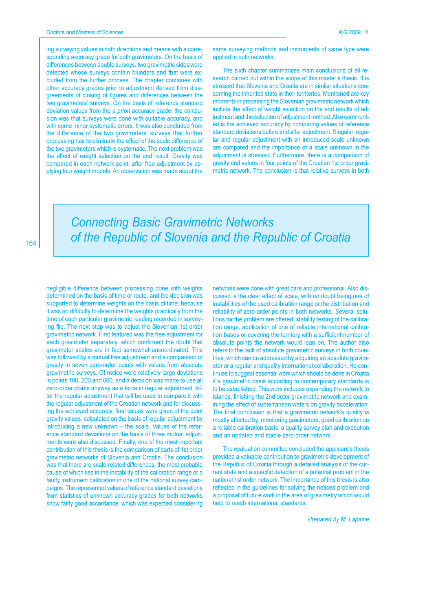ing surveying values in both directions and means with a corresponding accuracy grade for both gravimeters. On the basis of differences between double surveys, two gravimetric sides were detected whose surveys contain blunders and that were excluded from the further process. The chapter continues with other accuracy grades prior to adjustment derived from disagreements of closing of figures and differences between the two gravimeters' surveys. On the basis of reference standard deviation values from the a priori accuracy grade, the conclusion was that surveys were done with suitable accuracy, and with some minor systematic errors. It was also concluded from the difference of the two gravimeters' surveys that further processing has to eliminate the effect of the scale difference of the two gravimeters which is systematic. The next problem was the effect of weight selection on the end result. Gravity was compared in each network point, after free adjustment by applying four weight models. An observation was made about the

same surveying methods and instruments of same type were applied in both networks.

The sixth chapter summarizes main conclusions of all research carried out within the scope of this master's thesis. It is stressed that Slovenia and Croatia are in similar situations concerning the inherited state in their territories. Mentioned are key moments in processing the Slovenian gravimetric network which include the effect of weight selection on the end results of adjustment and the selection of adjustment method. Also commented is the achieved accuracy by comparing values of reference standard deviations before and after adjustment. Singular, regular and regular adjustment with an introduced scale unknown are compared and the importance of a scale unknown in the adjustment is stressed. Furthermore, there is a comparison of gravity end values in four points of the Croatian 1st order gravimetric network. The conclusion is that relative surveys in both

**Connecting Basic Gravimetric Networks** of the Republic of Slovenia and the Republic of Croatia

negligible difference between processing done with weights determined on the basis of time or route, and the decision was supported to determine weights on the basis of time, because it was no difficulty to determine the weights practically from the time of each particular gravimetric reading recorded in surveying file. The next step was to adjust the Slovenian 1st order gravimetric network. First featured was the free adjustment for each gravimeter separately, which confirmed the doubt that gravimeter scales are in fact somewhat uncoordinated. This was followed by a mutual free adjustment and a comparison of gravity in seven zero-order points with values from absolute gravimetric surveys. Of notice were relatively large deviations in points 100, 200 and 600, and a decision was made to use all zero-order points anyway as a force in regular adjustment. After the regular adjustment that will be used to compare it with the regular adjustment of the Croatian network and for discussing the achieved accuracy, final values were given of the point gravity values, calculated on the basis of regular adjustment by introducing a new unknown - the scale. Values of the reference standard deviations on the basis of three mutual adjustments were also discussed. Finally, one of the most important contribution of this thesis is the comparison of parts of 1st order gravimetric networks of Slovenia and Croatia. The conclusion was that there are scale-related differences, the most probable cause of which lies in the instability of the calibration range or a faulty instrument calibration in one of the national survey campaigns. The represented values of reference standard deviations from statistics of unknown accuracy grades for both networks show fairly good accordance, which was expected considering

networks were done with great care and professional. Also discussed is the clear effect of scale, with no doubt being one of instabilities of the used calibration range or the distribution and reliability of zero-order points in both networks. Several solutions for the problem are offered: stability testing of the calibration range, application of one of reliable international calibration bases or covering the territory with a sufficient number of absolute points the network would lean on. The author also refers to the lack of absolute gravimetric surveys in both countries, which can be addressed by acquiring an absolute gravimeter or a regular and quality international collaboration. He continues to suggest essential work which should be done in Croatia if a gravimetric basis according to contemporary standards is to be established. This work includes expanding the network to islands, finishing the 2nd order gravimetric network and examining the effect of subterranean waters on gravity acceleration. The final conclusion is that a gravimetric network's quality is mostly affected by: monitoring gravimeters, good calibration on a reliable calibration basis, a quality survey plan and execution and an updated and stable zero-order network.

The evaluation committee concluded the applicant's thesis provided a valuable contribution to gravimetric development of the Republic of Croatia through a detailed analysis of the current state and a specific detection of a potential problem in the national 1st order network. The importance of this thesis is also reflected in the guidelines for solving the noticed problem and a proposal of future work in the area of gravimetry which would help to reach international standards.

Prepared by M. Lapaine